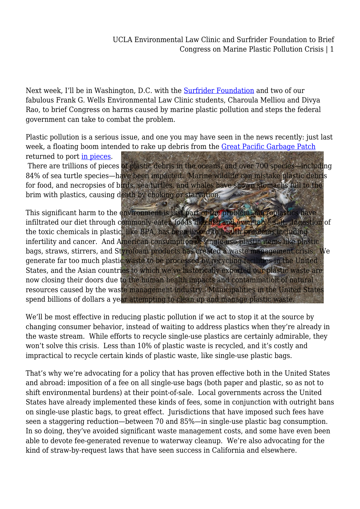Next week, I'll be in Washington, D.C. with the [Surfrider Foundation](https://www.surfrider.org/) and two of our fabulous Frank G. Wells Environmental Law Clinic students, Charoula Melliou and Divya Rao, to brief Congress on harms caused by marine plastic pollution and steps the federal government can take to combat the problem.

Plastic pollution is a serious issue, and one you may have seen in the news recently: just last week, a floating boom intended to rake up debris from the [Great Pacific Garbage Patch](https://www.nytimes.com/2018/03/22/climate/great-pacific-garbage-patch.html?module=inline)

returned to port [in pieces](https://www.nytimes.com/2019/01/03/world/americas/great-pacific-garbage-patch-cleanup.html). There are trillions of pieces of plastic debris in the oceans, and over 700 species—including 84% of sea turtle species—have been impacted. Marine wildlife can mistake plastic debris for food, and necropsies of birds, sea turtles, and whales have shown stomachs full to the brim with plastics, causing death by choking or starvation.

This significant harm to the environment is just part of the problem: microplastics have infiltrated our diet through commonly-eaten foods like fish and even table salt. Ingestion of the toxic chemicals in plastic, like BPA, has been linked to health problems including infertility and cancer. And American consumption of single-use plastic items like plastic bags, straws, stirrers, and Styrofoam products has created a waste management crisis. We generate far too much plastic waste to be processed by recycling facilities in the United States, and the Asian countries to which we've historically exported our plastic waste are now closing their doors due to the human health impacts and contamination of natural resources caused by the waste management industry. Municipalities in the United States spend billions of dollars a year attempting to clean up and manage plastic waste.

We'll be most effective in reducing plastic pollution if we act to stop it at the source by changing consumer behavior, instead of waiting to address plastics when they're already in the waste stream. While efforts to recycle single-use plastics are certainly admirable, they won't solve this crisis. Less than 10% of plastic waste is recycled, and it's costly and impractical to recycle certain kinds of plastic waste, like single-use plastic bags.

That's why we're advocating for a policy that has proven effective both in the United States and abroad: imposition of a fee on all single-use bags (both paper and plastic, so as not to shift environmental burdens) at their point-of-sale. Local governments across the United States have already implemented these kinds of fees, some in conjunction with outright bans on single-use plastic bags, to great effect. Jurisdictions that have imposed such fees have seen a staggering reduction—between 70 and 85%—in single-use plastic bag consumption. In so doing, they've avoided significant waste management costs, and some have even been able to devote fee-generated revenue to waterway cleanup. We're also advocating for the kind of straw-by-request laws that have seen success in California and elsewhere.